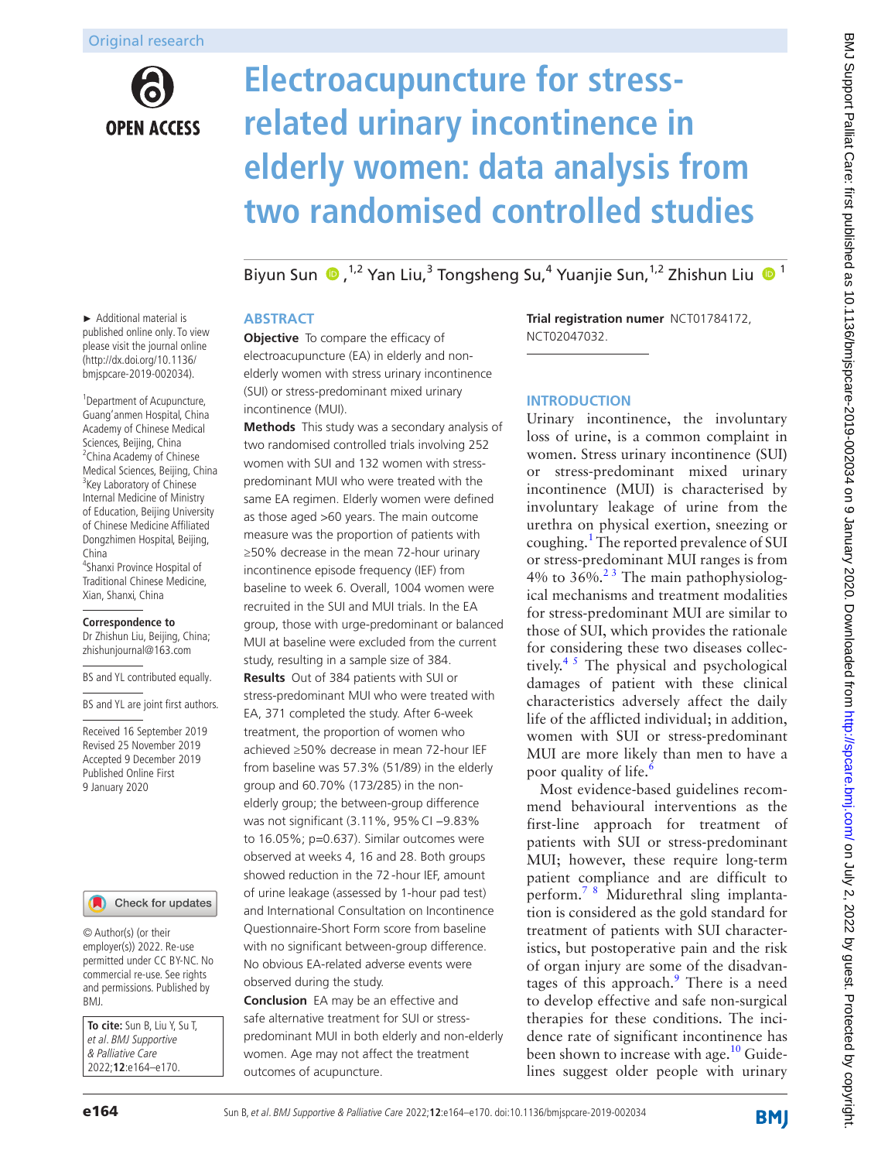# **OPEN ACCESS**

# **Electroacupuncture for stressrelated urinary incontinence in elderly women: data analysis from two randomised controlled studies**

BiyunSun (D,<sup>1,2</sup> Yan Liu,<sup>3</sup> Tongsheng Su,<sup>4</sup> Yuanjie Sun,<sup>1,2</sup> Zhishun Liu (D<sup>1</sup>

#### **Abstract**

**Objective** To compare the efficacy of electroacupuncture (EA) in elderly and nonelderly women with stress urinary incontinence (SUI) or stress-predominant mixed urinary incontinence (MUI).

**Methods** This study was a secondary analysis of two randomised controlled trials involving 252 women with SUI and 132 women with stresspredominant MUI who were treated with the same EA regimen. Elderly women were defined as those aged >60 years. The main outcome measure was the proportion of patients with ≥50% decrease in the mean 72-hour urinary incontinence episode frequency (IEF) from baseline to week 6. Overall, 1004 women were recruited in the SUI and MUI trials. In the EA group, those with urge-predominant or balanced MUI at baseline were excluded from the current study, resulting in a sample size of 384. **Results** Out of 384 patients with SUI or stress-predominant MUI who were treated with EA, 371 completed the study. After 6-week treatment, the proportion of women who achieved ≥50% decrease in mean 72-hour IEF from baseline was 57.3% (51/89) in the elderly group and 60.70% (173/285) in the nonelderly group; the between-group difference was not significant (3.11%, 95% CI -9.83% to 16.05%; p*=*0.637). Similar outcomes were observed at weeks 4, 16 and 28. Both groups showed reduction in the 72-hour IEF, amount of urine leakage (assessed by 1-hour pad test) and International Consultation on Incontinence Questionnaire-Short Form score from baseline with no significant between-group difference. No obvious EA-related adverse events were observed during the study.

**Conclusion** EA may be an effective and safe alternative treatment for SUI or stresspredominant MUI in both elderly and non-elderly women. Age may not affect the treatment outcomes of acupuncture.

**Trial registration numer** [NCT01784172,](NCT01784172) [NCT02047032.](NCT02047032)

# **Introduction**

Urinary incontinence, the involuntary loss of urine, is a common complaint in women. Stress urinary incontinence (SUI) or stress-predominant mixed urinary incontinence (MUI) is characterised by involuntary leakage of urine from the urethra on physical exertion, sneezing or coughing.<sup>[1](#page-5-0)</sup> The reported prevalence of SUI or stress-predominant MUI ranges is from 4% to  $36\%$ .<sup>23</sup> The main pathophysiological mechanisms and treatment modalities for stress-predominant MUI are similar to those of SUI, which provides the rationale for considering these two diseases collectively.<sup>45</sup> The physical and psychological damages of patient with these clinical characteristics adversely affect the daily life of the afflicted individual; in addition, women with SUI or stress-predominant MUI are more likely than men to have a poor quality of life. $\frac{6}{5}$  $\frac{6}{5}$  $\frac{6}{5}$ 

Most evidence-based guidelines recommend behavioural interventions as the first-line approach for treatment of patients with SUI or stress-predominant MUI; however, these require long-term patient compliance and are difficult to perform.<sup>78</sup> Midurethral sling implantation is considered as the gold standard for treatment of patients with SUI characteristics, but postoperative pain and the risk of organ injury are some of the disadvan-tages of this approach.<sup>[9](#page-5-5)</sup> There is a need to develop effective and safe non-surgical therapies for these conditions. The incidence rate of significant incontinence has been shown to increase with age.<sup>10</sup> Guidelines suggest older people with urinary

► Additional material is published online only. To view please visit the journal online (http://dx.doi.org/10.1136/ bmjspcare-2019-002034).

<sup>1</sup>Department of Acupuncture, Guang'anmen Hospital, China Academy of Chinese Medical Sciences, Beijing, China <sup>2</sup> China Academy of Chinese Medical Sciences, Beijing, China <sup>3</sup>Key Laboratory of Chinese Internal Medicine of Ministry of Education, Beijing University of Chinese Medicine Affiliated Dongzhimen Hospital, Beijing, China

4 Shanxi Province Hospital of Traditional Chinese Medicine, Xian, Shanxi, China

#### **Correspondence to**

Dr Zhishun Liu, Beijing, China; zhishunjournal@163.com

BS and YL contributed equally.

BS and YL are joint first authors.

Received 16 September 2019 Revised 25 November 2019 Accepted 9 December 2019 Published Online First 9 January 2020



© Author(s) (or their employer(s)) 2022. Re-use permitted under CC BY-NC. No commercial re-use. See rights and permissions. Published by BMJ.

**To cite:** Sun B, Liu Y, Su T, et al. BMJ Supportive & Palliative Care 2022;**12**:e164–e170.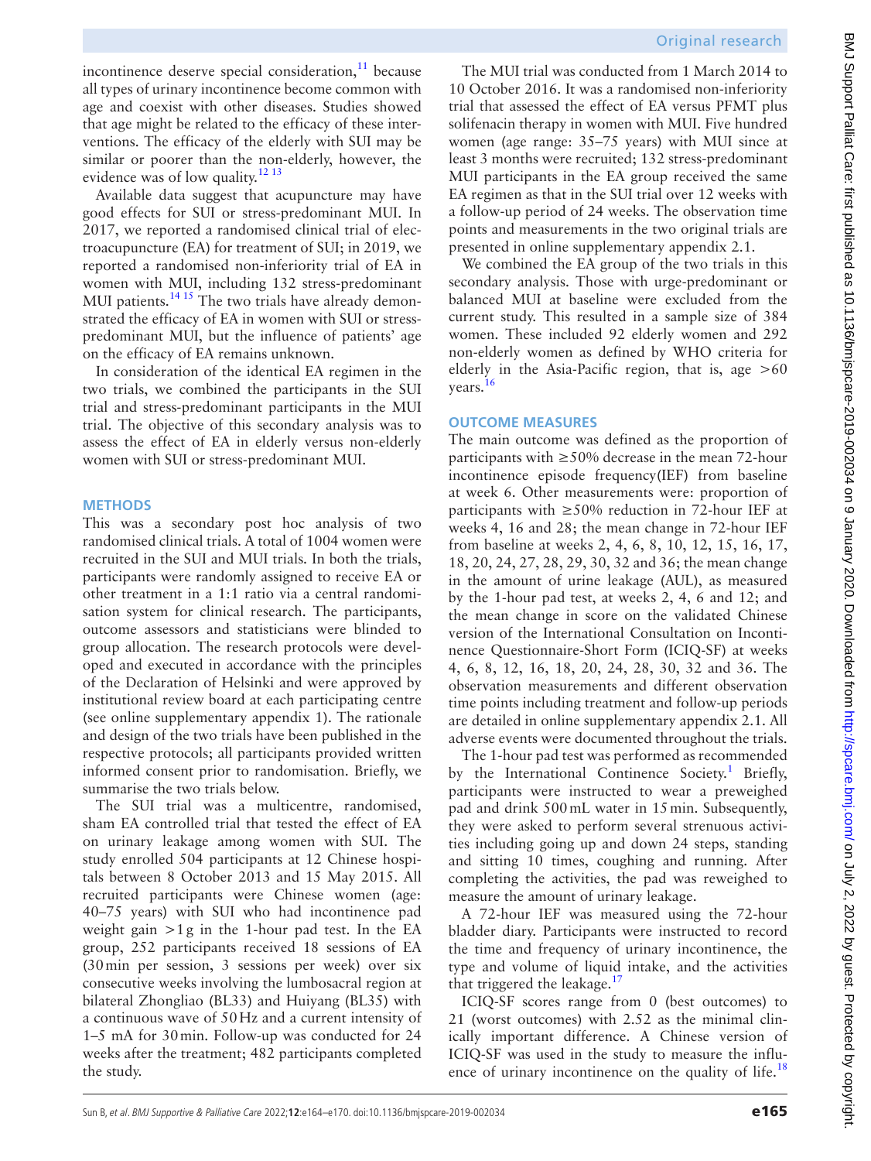Original research

incontinence deserve special consideration, $^{11}$  because all types of urinary incontinence become common with age and coexist with other diseases. Studies showed that age might be related to the efficacy of these interventions. The efficacy of the elderly with SUI may be similar or poorer than the non-elderly, however, the evidence was of low quality.<sup>[12 13](#page-5-8)</sup>

Available data suggest that acupuncture may have good effects for SUI or stress-predominant MUI. In 2017, we reported a randomised clinical trial of electroacupuncture (EA) for treatment of SUI; in 2019, we reported a randomised non-inferiority trial of EA in women with MUI, including 132 stress-predominant MUI patients. $14 \times 15$  The two trials have already demonstrated the efficacy of EA in women with SUI or stresspredominant MUI, but the influence of patients' age on the efficacy of EA remains unknown.

In consideration of the identical EA regimen in the two trials, we combined the participants in the SUI trial and stress-predominant participants in the MUI trial. The objective of this secondary analysis was to assess the effect of EA in elderly versus non-elderly women with SUI or stress-predominant MUI.

#### **Methods**

This was a secondary post hoc analysis of two randomised clinical trials. A total of 1004 women were recruited in the SUI and MUI trials. In both the trials, participants were randomly assigned to receive EA or other treatment in a 1:1 ratio via a central randomisation system for clinical research. The participants, outcome assessors and statisticians were blinded to group allocation. The research protocols were developed and executed in accordance with the principles of the Declaration of Helsinki and were approved by institutional review board at each participating centre (see [online supplementary appendix 1](https://dx.doi.org/10.1136/bmjspcare-2019-002034)). The rationale and design of the two trials have been published in the respective protocols; all participants provided written informed consent prior to randomisation. Briefly, we summarise the two trials below.

The SUI trial was a multicentre, randomised, sham EA controlled trial that tested the effect of EA on urinary leakage among women with SUI. The study enrolled 504 participants at 12 Chinese hospitals between 8 October 2013 and 15 May 2015. All recruited participants were Chinese women (age: 40–75 years) with SUI who had incontinence pad weight gain >1g in the 1-hour pad test. In the EA group, 252 participants received 18 sessions of EA (30min per session, 3 sessions per week) over six consecutive weeks involving the lumbosacral region at bilateral Zhongliao (BL33) and Huiyang (BL35) with a continuous wave of 50Hz and a current intensity of 1–5 mA for 30min. Follow-up was conducted for 24 weeks after the treatment; 482 participants completed the study.

The MUI trial was conducted from 1 March 2014 to 10 October 2016. It was a randomised non-inferiority trial that assessed the effect of EA versus PFMT plus solifenacin therapy in women with MUI. Five hundred women (age range: 35–75 years) with MUI since at least 3 months were recruited; 132 stress-predominant MUI participants in the EA group received the same EA regimen as that in the SUI trial over 12 weeks with a follow-up period of 24 weeks. The observation time points and measurements in the two original trials are presented in [online supplementary appendix 2.1](https://dx.doi.org/10.1136/bmjspcare-2019-002034).

We combined the EA group of the two trials in this secondary analysis. Those with urge-predominant or balanced MUI at baseline were excluded from the current study. This resulted in a sample size of 384 women. These included 92 elderly women and 292 non-elderly women as defined by WHO criteria for elderly in the Asia-Pacific region, that is, age  $>60$ years.<sup>16</sup>

#### **Outcome measures**

The main outcome was defined as the proportion of participants with  $\geq$ 50% decrease in the mean 72-hour incontinence episode frequency(IEF) from baseline at week 6. Other measurements were: proportion of participants with ≥50% reduction in 72-hour IEF at weeks 4, 16 and 28; the mean change in 72-hour IEF from baseline at weeks 2, 4, 6, 8, 10, 12, 15, 16, 17, 18, 20, 24, 27, 28, 29, 30, 32 and 36; the mean change in the amount of urine leakage (AUL), as measured by the 1-hour pad test, at weeks 2, 4, 6 and 12; and the mean change in score on the validated Chinese version of the International Consultation on Incontinence Questionnaire-Short Form (ICIQ-SF) at weeks 4, 6, 8, 12, 16, 18, 20, 24, 28, 30, 32 and 36. The observation measurements and different observation time points including treatment and follow-up periods are detailed in [online supplementary appendix 2.1](https://dx.doi.org/10.1136/bmjspcare-2019-002034). All adverse events were documented throughout the trials.

The 1-hour pad test was performed as recommended by the International Continence Society.<sup>[1](#page-5-0)</sup> Briefly, participants were instructed to wear a preweighed pad and drink 500mL water in 15min. Subsequently, they were asked to perform several strenuous activities including going up and down 24 steps, standing and sitting 10 times, coughing and running. After completing the activities, the pad was reweighed to measure the amount of urinary leakage.

A 72-hour IEF was measured using the 72-hour bladder diary. Participants were instructed to record the time and frequency of urinary incontinence, the type and volume of liquid intake, and the activities that triggered the leakage. $17$ 

ICIQ-SF scores range from 0 (best outcomes) to 21 (worst outcomes) with 2.52 as the minimal clinically important difference. A Chinese version of ICIQ-SF was used in the study to measure the influence of urinary incontinence on the quality of life.<sup>18</sup>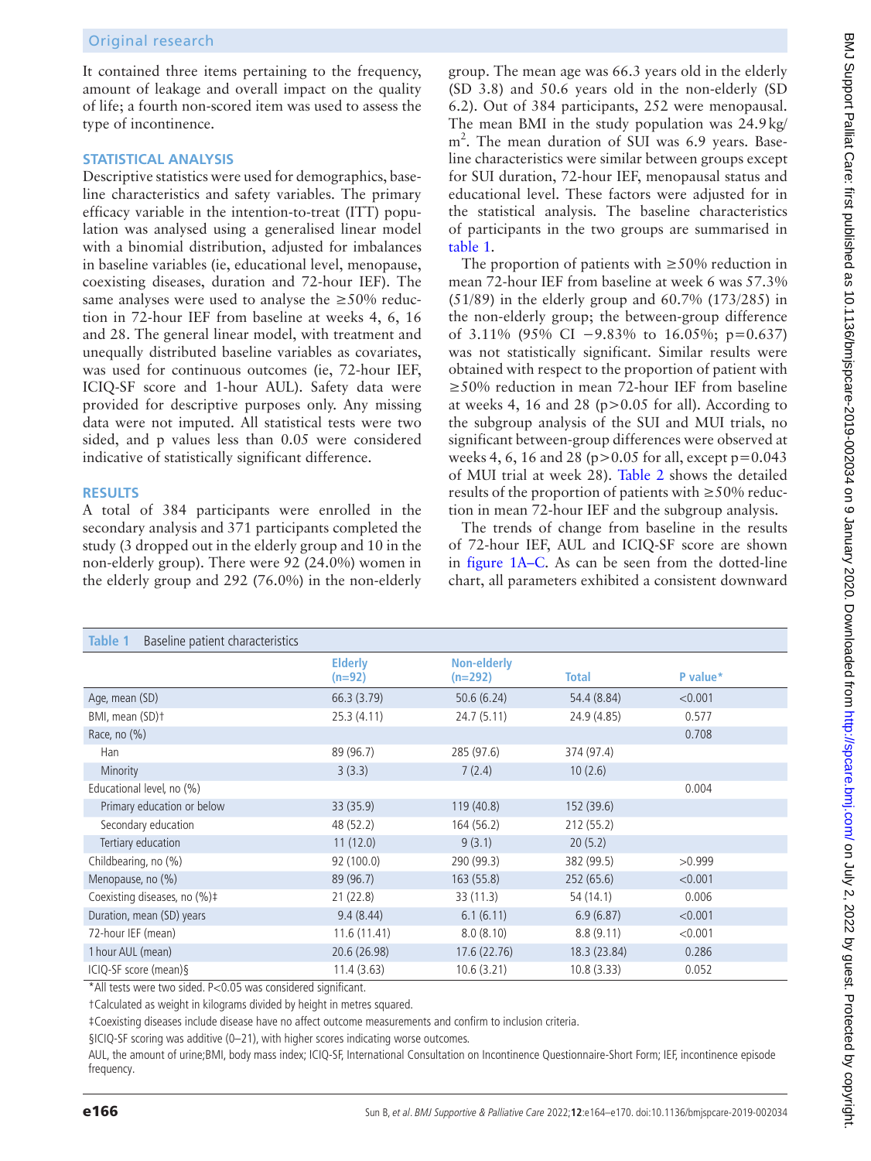It contained three items pertaining to the frequency, amount of leakage and overall impact on the quality of life; a fourth non-scored item was used to assess the type of incontinence.

### **Statistical analysis**

Descriptive statistics were used for demographics, baseline characteristics and safety variables. The primary efficacy variable in the intention-to-treat (ITT) population was analysed using a generalised linear model with a binomial distribution, adjusted for imbalances in baseline variables (ie, educational level, menopause, coexisting diseases, duration and 72-hour IEF). The same analyses were used to analyse the  $\geq$ 50% reduction in 72-hour IEF from baseline at weeks 4, 6, 16 and 28. The general linear model, with treatment and unequally distributed baseline variables as covariates, was used for continuous outcomes (ie, 72-hour IEF, ICIQ-SF score and 1-hour AUL). Safety data were provided for descriptive purposes only. Any missing data were not imputed. All statistical tests were two sided, and p values less than 0.05 were considered indicative of statistically significant difference.

# **Results**

A total of 384 participants were enrolled in the secondary analysis and 371 participants completed the study (3 dropped out in the elderly group and 10 in the non-elderly group). There were 92 (24.0%) women in the elderly group and 292 (76.0%) in the non-elderly

group. The mean age was 66.3 years old in the elderly (SD 3.8) and 50.6 years old in the non-elderly (SD 6.2). Out of 384 participants, 252 were menopausal. The mean BMI in the study population was 24.9kg/ m<sup>2</sup>. The mean duration of SUI was 6.9 years. Baseline characteristics were similar between groups except for SUI duration, 72-hour IEF, menopausal status and educational level. These factors were adjusted for in the statistical analysis. The baseline characteristics of participants in the two groups are summarised in [table](#page-2-0) 1.

The proportion of patients with  $\geq$ 50% reduction in mean 72-hour IEF from baseline at week 6 was 57.3% (51/89) in the elderly group and 60.7% (173/285) in the non-elderly group; the between-group difference of 3.11% (95% CI −9.83% to 16.05%; p*=*0.637) was not statistically significant. Similar results were obtained with respect to the proportion of patient with ≥50% reduction in mean 72-hour IEF from baseline at weeks 4, 16 and 28 (p>0.05 for all). According to the subgroup analysis of the SUI and MUI trials, no significant between-group differences were observed at weeks 4, 6, 16 and 28 ( $p > 0.05$  for all, except  $p = 0.043$ of MUI trial at week 28). [Table](#page-3-0) 2 shows the detailed results of the proportion of patients with ≥50% reduction in mean 72-hour IEF and the subgroup analysis.

The trends of change from baseline in the results of 72-hour IEF, AUL and ICIQ-SF score are shown in [figure](#page-3-1) 1A–C. As can be seen from the dotted-line chart, all parameters exhibited a consistent downward

<span id="page-2-0"></span>

| Table 1<br>Baseline patient characteristics |                            |                          |              |          |
|---------------------------------------------|----------------------------|--------------------------|--------------|----------|
|                                             | <b>Elderly</b><br>$(n=92)$ | Non-elderly<br>$(n=292)$ | Total        | P value* |
| Age, mean (SD)                              | 66.3 (3.79)                | 50.6(6.24)               | 54.4 (8.84)  | < 0.001  |
| BMI, mean (SD)t                             | 25.3(4.11)                 | 24.7(5.11)               | 24.9 (4.85)  | 0.577    |
| Race, no $(\%)$                             |                            |                          |              | 0.708    |
| Han                                         | 89 (96.7)                  | 285 (97.6)               | 374 (97.4)   |          |
| Minority                                    | 3(3.3)                     | 7(2.4)                   | 10(2.6)      |          |
| Educational level, no (%)                   |                            |                          |              | 0.004    |
| Primary education or below                  | 33 (35.9)                  | 119(40.8)                | 152 (39.6)   |          |
| Secondary education                         | 48 (52.2)                  | 164 (56.2)               | 212 (55.2)   |          |
| Tertiary education                          | 11(12.0)                   | 9(3.1)                   | 20(5.2)      |          |
| Childbearing, no (%)                        | 92 (100.0)                 | 290 (99.3)               | 382 (99.5)   | >0.999   |
| Menopause, no (%)                           | 89 (96.7)                  | 163(55.8)                | 252(65.6)    | < 0.001  |
| Coexisting diseases, no (%)#                | 21(22.8)                   | 33 (11.3)                | 54 (14.1)    | 0.006    |
| Duration, mean (SD) years                   | 9.4(8.44)                  | 6.1(6.11)                | 6.9(6.87)    | < 0.001  |
| 72-hour IEF (mean)                          | 11.6(11.41)                | 8.0(8.10)                | 8.8(9.11)    | < 0.001  |
| 1 hour AUL (mean)                           | 20.6 (26.98)               | 17.6 (22.76)             | 18.3 (23.84) | 0.286    |
| ICIQ-SF score (mean) §                      | 11.4(3.63)                 | 10.6(3.21)               | 10.8(3.33)   | 0.052    |

\*All tests were two sided. P<0.05 was considered significant.

†Calculated as weight in kilograms divided by height in metres squared.

‡Coexisting diseases include disease have no affect outcome measurements and confirm to inclusion criteria.

§ICIQ-SF scoring was additive (0–21), with higher scores indicating worse outcomes.

AUL, the amount of urine;BMI, body mass index; ICIQ-SF, International Consultation on Incontinence Questionnaire-Short Form; IEF, incontinence episode frequency.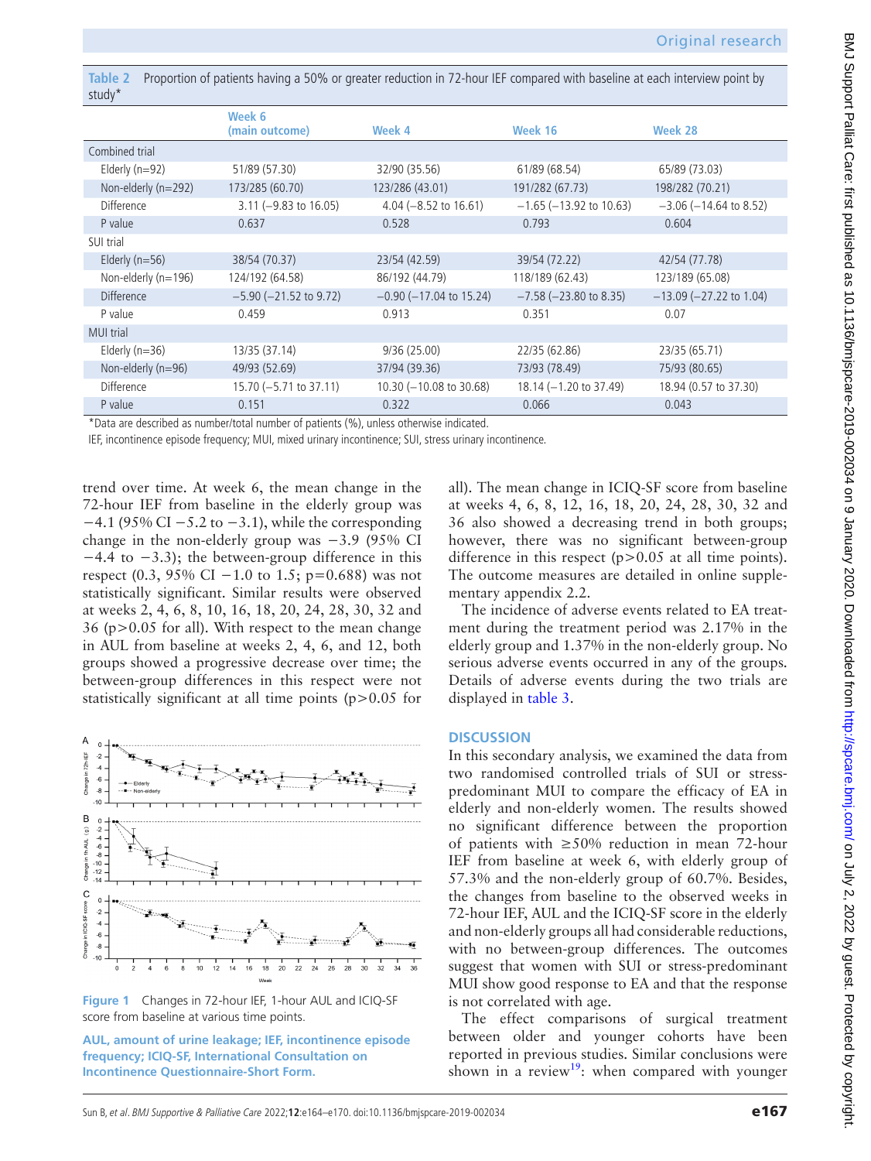<span id="page-3-0"></span>**Table 2** Proportion of patients having a 50% or greater reduction in 72-hour IEF compared with baseline at each interview point by study\*

|                     | Week 6                      |                                  |                              |                              |
|---------------------|-----------------------------|----------------------------------|------------------------------|------------------------------|
|                     | (main outcome)              | Week 4                           | Week 16                      | Week 28                      |
| Combined trial      |                             |                                  |                              |                              |
| Elderly $(n=92)$    | 51/89 (57.30)               | 32/90 (35.56)                    | 61/89 (68.54)                | 65/89 (73.03)                |
| Non-elderly (n=292) | 173/285 (60.70)             | 123/286 (43.01)                  | 191/282 (67.73)              | 198/282 (70.21)              |
| <b>Difference</b>   | $3.11 (-9.83 to 16.05)$     | 4.04 $(-8.52 \text{ to } 16.61)$ | $-1.65$ ( $-13.92$ to 10.63) | $-3.06$ ( $-14.64$ to 8.52)  |
| P value             | 0.637                       | 0.528                            | 0.793                        | 0.604                        |
| SUI trial           |                             |                                  |                              |                              |
| Elderly $(n=56)$    | 38/54 (70.37)               | 23/54 (42.59)                    | 39/54 (72.22)                | 42/54 (77.78)                |
| Non-elderly (n=196) | 124/192 (64.58)             | 86/192 (44.79)                   | 118/189 (62.43)              | 123/189 (65.08)              |
| <b>Difference</b>   | $-5.90$ ( $-21.52$ to 9.72) | $-0.90$ ( $-17.04$ to 15.24)     | $-7.58$ ( $-23.80$ to 8.35)  | $-13.09$ ( $-27.22$ to 1.04) |
| P value             | 0.459                       | 0.913                            | 0.351                        | 0.07                         |
| <b>MUI trial</b>    |                             |                                  |                              |                              |
| Elderly ( $n=36$ )  | 13/35 (37.14)               | 9/36(25.00)                      | 22/35 (62.86)                | 23/35 (65.71)                |
| Non-elderly (n=96)  | 49/93 (52.69)               | 37/94 (39.36)                    | 73/93 (78.49)                | 75/93 (80.65)                |
| <b>Difference</b>   | $15.70 (-5.71 to 37.11)$    | $10.30$ ( $-10.08$ to 30.68)     | $18.14 (-1.20 to 37.49)$     | 18.94 (0.57 to 37.30)        |
| P value             | 0.151                       | 0.322                            | 0.066                        | 0.043                        |

\*Data are described as number/total number of patients (%), unless otherwise indicated.

IEF, incontinence episode frequency; MUI, mixed urinary incontinence; SUI, stress urinary incontinence.

trend over time. At week 6, the mean change in the 72-hour IEF from baseline in the elderly group was  $-4.1$  (95% CI  $-5.2$  to  $-3.1$ ), while the corresponding change in the non-elderly group was −3.9 (95% CI −4.4 to −3.3); the between-group difference in this respect (0.3, 95% CI – 1.0 to 1.5; p=0.688) was not statistically significant. Similar results were observed at weeks 2, 4, 6, 8, 10, 16, 18, 20, 24, 28, 30, 32 and 36 (p>0.05 for all). With respect to the mean change in AUL from baseline at weeks 2, 4, 6, and 12, both groups showed a progressive decrease over time; the between-group differences in this respect were not statistically significant at all time points (p>0.05 for



<span id="page-3-1"></span>**Figure 1** Changes in 72-hour IEF, 1-hour AUL and ICIQ-SF score from baseline at various time points.

**AUL, amount of urine leakage; IEF, incontinence episode frequency; ICIQ-SF, International Consultation on Incontinence Questionnaire-Short Form.**

all). The mean change in ICIQ-SF score from baseline at weeks 4, 6, 8, 12, 16, 18, 20, 24, 28, 30, 32 and 36 also showed a decreasing trend in both groups; however, there was no significant between-group difference in this respect  $(p>0.05$  at all time points). The outcome measures are detailed in [online supple](https://dx.doi.org/10.1136/bmjspcare-2019-002034)[mentary appendix 2.2](https://dx.doi.org/10.1136/bmjspcare-2019-002034).

The incidence of adverse events related to EA treatment during the treatment period was 2.17% in the elderly group and 1.37% in the non-elderly group. No serious adverse events occurred in any of the groups. Details of adverse events during the two trials are displayed in [table](#page-4-0) 3.

#### **Discussion**

In this secondary analysis, we examined the data from two randomised controlled trials of SUI or stresspredominant MUI to compare the efficacy of EA in elderly and non-elderly women. The results showed no significant difference between the proportion of patients with ≥50% reduction in mean 72-hour IEF from baseline at week 6, with elderly group of 57.3% and the non-elderly group of 60.7%. Besides, the changes from baseline to the observed weeks in 72-hour IEF, AUL and the ICIQ-SF score in the elderly and non-elderly groups all had considerable reductions, with no between-group differences. The outcomes suggest that women with SUI or stress-predominant MUI show good response to EA and that the response is not correlated with age.

The effect comparisons of surgical treatment between older and younger cohorts have been reported in previous studies. Similar conclusions were shown in a review<sup>[19](#page-6-3)</sup>: when compared with younger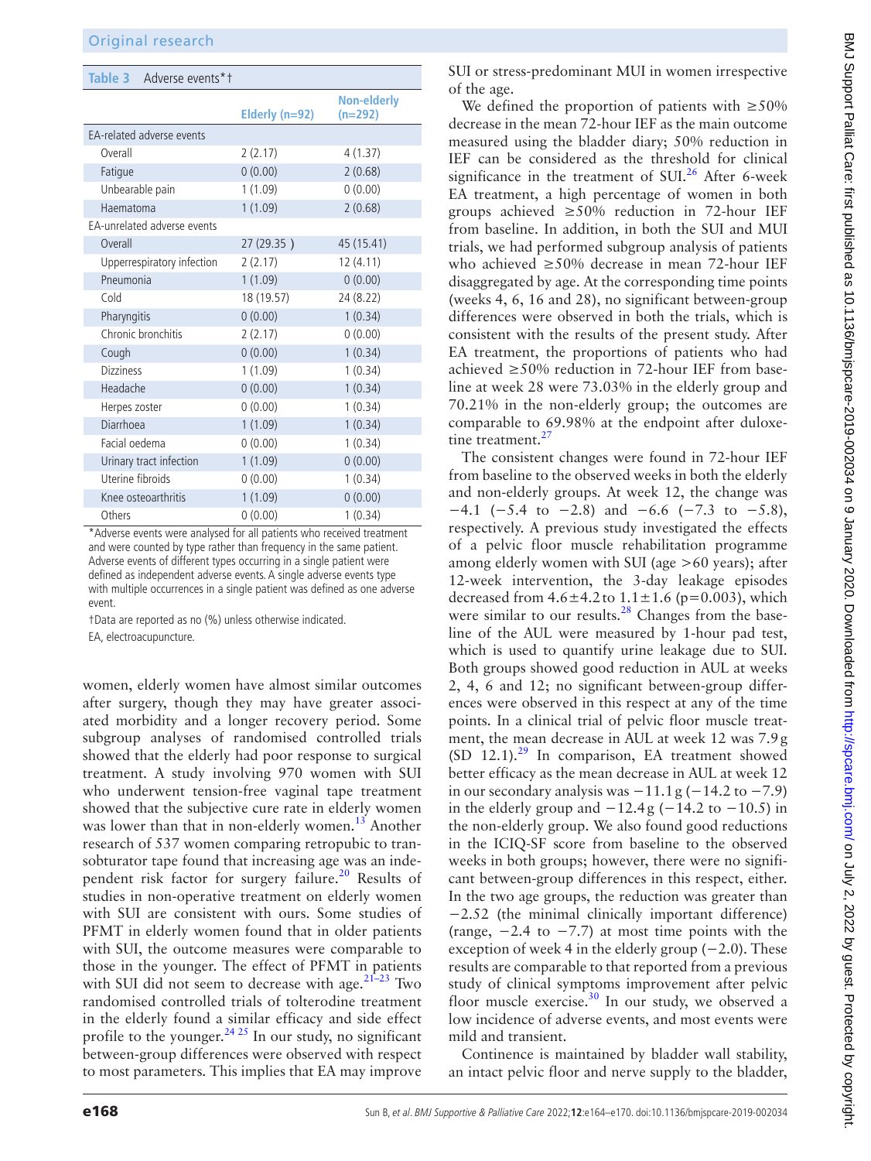<span id="page-4-0"></span>

| Table 3 Adverse events*1    |                  |                               |
|-----------------------------|------------------|-------------------------------|
|                             | Elderly $(n=92)$ | <b>Non-elderly</b><br>(n=292) |
| EA-related adverse events   |                  |                               |
| Overall                     | 2(2.17)          | 4(1.37)                       |
| Fatigue                     | 0(0.00)          | 2(0.68)                       |
| Unbearable pain             | 1(1.09)          | 0(0.00)                       |
| Haematoma                   | 1(1.09)          | 2(0.68)                       |
| EA-unrelated adverse events |                  |                               |
| Overall                     | 27 (29.35)       | 45 (15.41)                    |
| Upperrespiratory infection  | 2(2.17)          | 12(4.11)                      |
| Pneumonia                   | 1(1.09)          | 0(0.00)                       |
| Cold                        | 18 (19.57)       | 24 (8.22)                     |
| Pharyngitis                 | 0(0.00)          | 1(0.34)                       |
| Chronic bronchitis          | 2(2.17)          | 0(0.00)                       |
| Cough                       | 0(0.00)          | 1(0.34)                       |
| <b>Dizziness</b>            | 1(1.09)          | 1(0.34)                       |
| Headache                    | 0(0.00)          | 1(0.34)                       |
| Herpes zoster               | 0(0.00)          | 1(0.34)                       |
| Diarrhoea                   | 1(1.09)          | 1(0.34)                       |
| Facial oedema               | 0(0.00)          | 1(0.34)                       |
| Urinary tract infection     | 1(1.09)          | 0(0.00)                       |
| Uterine fibroids            | 0(0.00)          | 1(0.34)                       |
| Knee osteoarthritis         | 1(1.09)          | 0(0.00)                       |
| Others                      | 0(0.00)          | 1(0.34)                       |

\*Adverse events were analysed for all patients who received treatment and were counted by type rather than frequency in the same patient. Adverse events of different types occurring in a single patient were defined as independent adverse events. A single adverse events type with multiple occurrences in a single patient was defined as one adverse event.

†Data are reported as no (%) unless otherwise indicated.

EA, electroacupuncture.

women, elderly women have almost similar outcomes after surgery, though they may have greater associated morbidity and a longer recovery period. Some subgroup analyses of randomised controlled trials showed that the elderly had poor response to surgical treatment. A study involving 970 women with SUI who underwent tension-free vaginal tape treatment showed that the subjective cure rate in elderly women was lower than that in non-elderly women.<sup>[13](#page-5-10)</sup> Another research of 537 women comparing retropubic to transobturator tape found that increasing age was an inde-pendent risk factor for surgery failure.<sup>[20](#page-6-4)</sup> Results of studies in non-operative treatment on elderly women with SUI are consistent with ours. Some studies of PFMT in elderly women found that in older patients with SUI, the outcome measures were comparable to those in the younger. The effect of PFMT in patients with SUI did not seem to decrease with age. $21-23$  Two randomised controlled trials of tolterodine treatment in the elderly found a similar efficacy and side effect profile to the younger. $2425$  In our study, no significant between-group differences were observed with respect to most parameters. This implies that EA may improve

SUI or stress-predominant MUI in women irrespective of the age.

We defined the proportion of patients with  $\geq 50\%$ decrease in the mean 72-hour IEF as the main outcome measured using the bladder diary; 50% reduction in IEF can be considered as the threshold for clinical significance in the treatment of  $SUI<sup>26</sup>$  $SUI<sup>26</sup>$  $SUI<sup>26</sup>$  After 6-week EA treatment, a high percentage of women in both groups achieved ≥50% reduction in 72-hour IEF from baseline. In addition, in both the SUI and MUI trials, we had performed subgroup analysis of patients who achieved ≥50% decrease in mean 72-hour IEF disaggregated by age. At the corresponding time points (weeks 4, 6, 16 and 28), no significant between-group differences were observed in both the trials, which is consistent with the results of the present study. After EA treatment, the proportions of patients who had achieved ≥50% reduction in 72-hour IEF from baseline at week 28 were 73.03% in the elderly group and 70.21% in the non-elderly group; the outcomes are comparable to 69.98% at the endpoint after duloxetine treatment.<sup>27</sup>

The consistent changes were found in 72-hour IEF from baseline to the observed weeks in both the elderly and non-elderly groups. At week 12, the change was  $-4.1$  (−5.4 to −2.8) and −6.6 (−7.3 to −5.8), respectively. A previous study investigated the effects of a pelvic floor muscle rehabilitation programme among elderly women with SUI (age >60 years); after 12-week intervention, the 3-day leakage episodes decreased from  $4.6 \pm 4.2$  to  $1.1 \pm 1.6$  (p=0.003), which were similar to our results. $28$  Changes from the baseline of the AUL were measured by 1-hour pad test, which is used to quantify urine leakage due to SUI. Both groups showed good reduction in AUL at weeks 2, 4, 6 and 12; no significant between-group differences were observed in this respect at any of the time points. In a clinical trial of pelvic floor muscle treatment, the mean decrease in AUL at week 12 was 7.9g (SD 12.1). $^{29}$  In comparison, EA treatment showed better efficacy as the mean decrease in AUL at week 12 in our secondary analysis was  $-11.1$  g ( $-14.2$  to  $-7.9$ ) in the elderly group and  $-12.4$  g ( $-14.2$  to  $-10.5$ ) in the non-elderly group. We also found good reductions in the ICIQ-SF score from baseline to the observed weeks in both groups; however, there were no significant between-group differences in this respect, either. In the two age groups, the reduction was greater than −2.52 (the minimal clinically important difference) (range,  $-2.4$  to  $-7.7$ ) at most time points with the exception of week 4 in the elderly group  $(-2.0)$ . These results are comparable to that reported from a previous study of clinical symptoms improvement after pelvic floor muscle exercise.<sup>30</sup> In our study, we observed a low incidence of adverse events, and most events were mild and transient.

Continence is maintained by bladder wall stability, an intact pelvic floor and nerve supply to the bladder,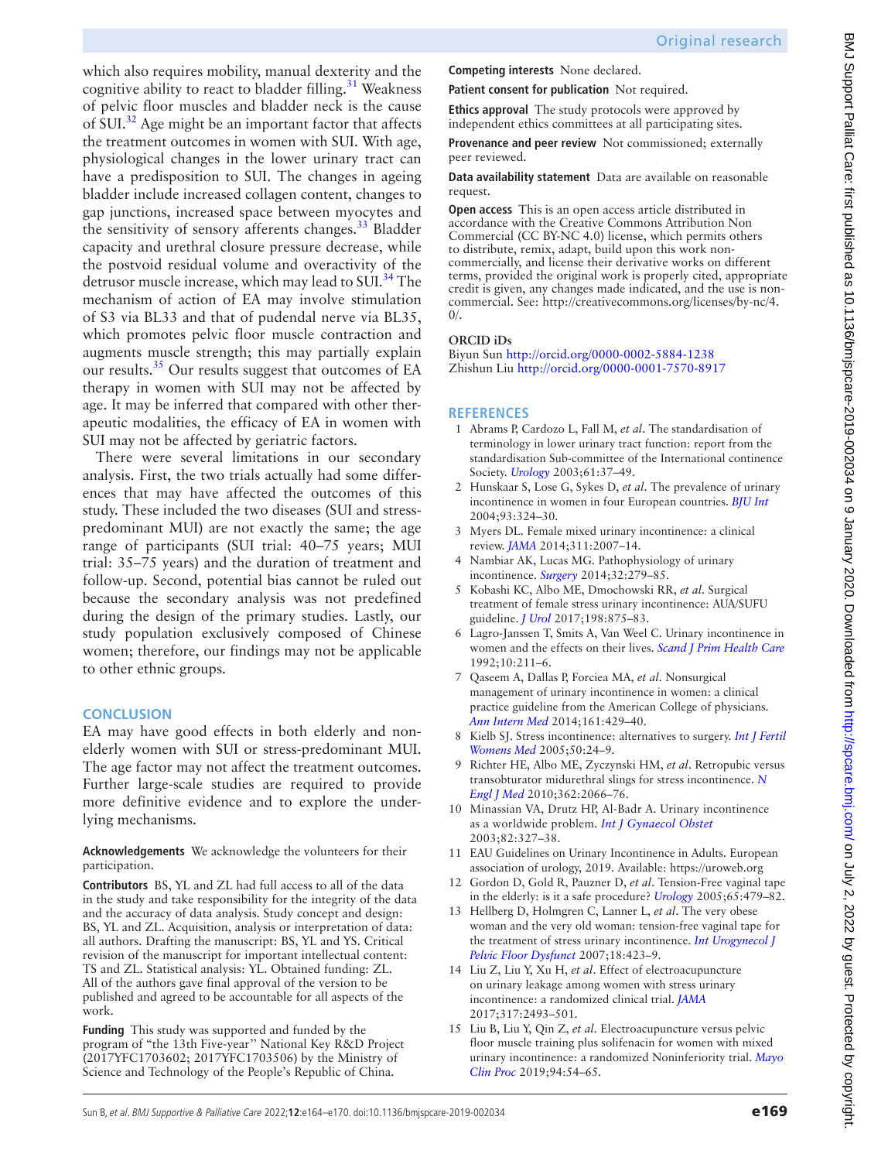which also requires mobility, manual dexterity and the cognitive ability to react to bladder filling.<sup>31</sup> Weakness of pelvic floor muscles and bladder neck is the cause of SUI.<sup>32</sup> Age might be an important factor that affects the treatment outcomes in women with SUI. With age, physiological changes in the lower urinary tract can have a predisposition to SUI. The changes in ageing bladder include increased collagen content, changes to gap junctions, increased space between myocytes and the sensitivity of sensory afferents changes.<sup>33</sup> Bladder capacity and urethral closure pressure decrease, while the postvoid residual volume and overactivity of the detrusor muscle increase, which may lead to SUI.<sup>34</sup> The mechanism of action of EA may involve stimulation of S3 via BL33 and that of pudendal nerve via BL35, which promotes pelvic floor muscle contraction and augments muscle strength; this may partially explain our results.<sup>[35](#page-6-16)</sup> Our results suggest that outcomes of EA therapy in women with SUI may not be affected by age. It may be inferred that compared with other therapeutic modalities, the efficacy of EA in women with SUI may not be affected by geriatric factors.

There were several limitations in our secondary analysis. First, the two trials actually had some differences that may have affected the outcomes of this study. These included the two diseases (SUI and stresspredominant MUI) are not exactly the same; the age range of participants (SUI trial: 40–75 years; MUI trial: 35–75 years) and the duration of treatment and follow-up. Second, potential bias cannot be ruled out because the secondary analysis was not predefined during the design of the primary studies. Lastly, our study population exclusively composed of Chinese women; therefore, our findings may not be applicable to other ethnic groups.

# **Conclusion**

EA may have good effects in both elderly and nonelderly women with SUI or stress-predominant MUI. The age factor may not affect the treatment outcomes. Further large-scale studies are required to provide more definitive evidence and to explore the underlying mechanisms.

#### **Acknowledgements** We acknowledge the volunteers for their participation.

**Contributors** BS, YL and ZL had full access to all of the data in the study and take responsibility for the integrity of the data and the accuracy of data analysis. Study concept and design: BS, YL and ZL. Acquisition, analysis or interpretation of data: all authors. Drafting the manuscript: BS, YL and YS. Critical revision of the manuscript for important intellectual content: TS and ZL. Statistical analysis: YL. Obtained funding: ZL. All of the authors gave final approval of the version to be published and agreed to be accountable for all aspects of the work.

**Funding** This study was supported and funded by the program of "the 13th Five-year'' National Key R&D Project (2017YFC1703602; 2017YFC1703506) by the Ministry of Science and Technology of the People's Republic of China.

**Competing interests** None declared.

**Patient consent for publication** Not required.

**Ethics approval** The study protocols were approved by independent ethics committees at all participating sites.

**Provenance and peer review** Not commissioned; externally peer reviewed.

**Data availability statement** Data are available on reasonable request.

**Open access** This is an open access article distributed in accordance with the Creative Commons Attribution Non Commercial (CC BY-NC 4.0) license, which permits others to distribute, remix, adapt, build upon this work noncommercially, and license their derivative works on different terms, provided the original work is properly cited, appropriate credit is given, any changes made indicated, and the use is noncommercial. See: [http://creativecommons.org/licenses/by-nc/4.](http://creativecommons.org/licenses/by-nc/4.0/)  $0/$ .

## **ORCID iDs**

Biyun Sun<http://orcid.org/0000-0002-5884-1238> Zhishun Liu <http://orcid.org/0000-0001-7570-8917>

# **References**

- <span id="page-5-0"></span>1 Abrams P, Cardozo L, Fall M, *et al*. The standardisation of terminology in lower urinary tract function: report from the standardisation Sub-committee of the International continence Society. *[Urology](http://dx.doi.org/10.1016/S0090-4295(02)02243-4)* 2003;61:37–49.
- <span id="page-5-1"></span>2 Hunskaar S, Lose G, Sykes D, *et al*. The prevalence of urinary incontinence in women in four European countries. *[BJU Int](http://dx.doi.org/10.1111/j.1464-410X.2003.04609.x)* 2004;93:324–30.
- 3 Myers DL. Female mixed urinary incontinence: a clinical review. *[JAMA](http://dx.doi.org/10.1001/jama.2014.4299)* 2014;311:2007–14.
- <span id="page-5-2"></span>4 Nambiar AK, Lucas MG. Pathophysiology of urinary incontinence. *[Surgery](http://dx.doi.org/10.1016/j.mpsur.2014.05.002)* 2014;32:279–85.
- 5 Kobashi KC, Albo ME, Dmochowski RR, *et al*. Surgical treatment of female stress urinary incontinence: AUA/SUFU guideline. *[J Urol](http://dx.doi.org/10.1016/j.juro.2017.06.061)* 2017;198:875–83.
- <span id="page-5-3"></span>6 Lagro-Janssen T, Smits A, Van Weel C. Urinary incontinence in women and the effects on their lives. *[Scand J Prim Health Care](http://dx.doi.org/10.3109/02813439209014063)* 1992;10:211–6.
- <span id="page-5-4"></span>7 Qaseem A, Dallas P, Forciea MA, *et al*. Nonsurgical management of urinary incontinence in women: a clinical practice guideline from the American College of physicians. *[Ann Intern Med](http://dx.doi.org/10.7326/M13-2410)* 2014;161:429–40.
- 8 Kielb SJ. Stress incontinence: alternatives to surgery. *[Int J Fertil](http://www.ncbi.nlm.nih.gov/pubmed/15971718)  [Womens Med](http://www.ncbi.nlm.nih.gov/pubmed/15971718)* 2005;50:24–9.
- <span id="page-5-5"></span>9 Richter HE, Albo ME, Zyczynski HM, *et al*. Retropubic versus transobturator midurethral slings for stress incontinence. *[N](http://dx.doi.org/10.1056/NEJMoa0912658)  [Engl J Med](http://dx.doi.org/10.1056/NEJMoa0912658)* 2010;362:2066–76.
- <span id="page-5-6"></span>10 Minassian VA, Drutz HP, Al-Badr A. Urinary incontinence as a worldwide problem. *[Int J Gynaecol Obstet](http://dx.doi.org/10.1016/S0020-7292(03)00220-0)* 2003;82:327–38.
- <span id="page-5-7"></span>11 EAU Guidelines on Urinary Incontinence in Adults. European association of urology, 2019. Available:<https://uroweb.org>
- <span id="page-5-8"></span>12 Gordon D, Gold R, Pauzner D, *et al*. Tension-Free vaginal tape in the elderly: is it a safe procedure? *[Urology](http://dx.doi.org/10.1016/j.urology.2004.09.059)* 2005;65:479–82.
- <span id="page-5-10"></span>13 Hellberg D, Holmgren C, Lanner L, *et al*. The very obese woman and the very old woman: tension-free vaginal tape for the treatment of stress urinary incontinence. *[Int Urogynecol J](http://dx.doi.org/10.1007/s00192-006-0162-2)  [Pelvic Floor Dysfunct](http://dx.doi.org/10.1007/s00192-006-0162-2)* 2007;18:423–9.
- <span id="page-5-9"></span>14 Liu Z, Liu Y, Xu H, *et al*. Effect of electroacupuncture on urinary leakage among women with stress urinary incontinence: a randomized clinical trial. *[JAMA](http://dx.doi.org/10.1001/jama.2017.7220)* 2017;317:2493–501.
- 15 Liu B, Liu Y, Qin Z, *et al*. Electroacupuncture versus pelvic floor muscle training plus solifenacin for women with mixed urinary incontinence: a randomized Noninferiority trial. *[Mayo](http://dx.doi.org/10.1016/j.mayocp.2018.07.021)  [Clin Proc](http://dx.doi.org/10.1016/j.mayocp.2018.07.021)* 2019;94:54–65.